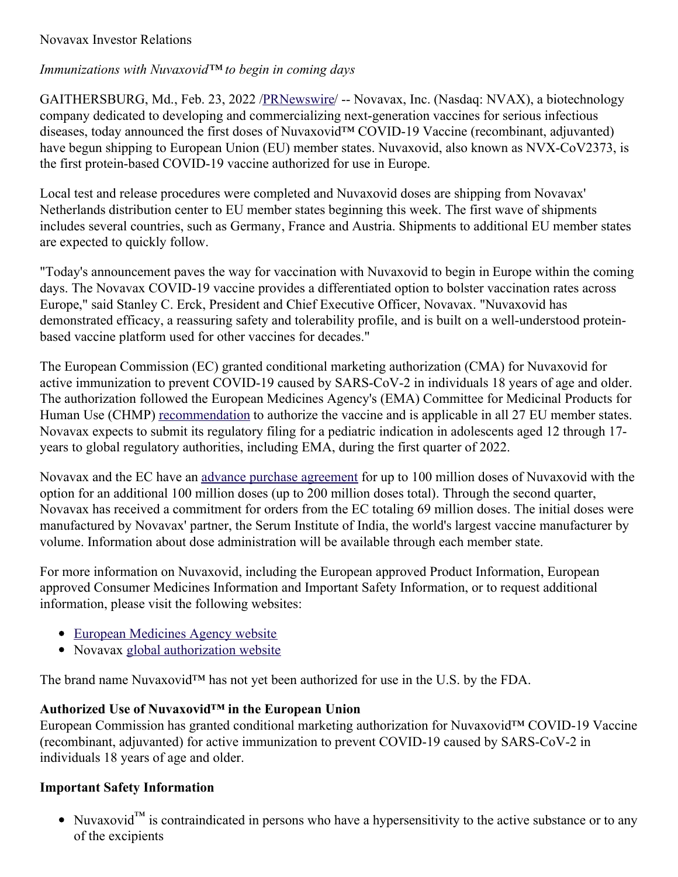## Novavax Investor Relations

### *Immunizations with Nuvaxovid™ to begin in coming days*

GAITHERSBURG, Md., Feb. 23, 2022 [/PRNewswire](http://www.prnewswire.com/)/ -- Novavax, Inc. (Nasdaq: NVAX), a biotechnology company dedicated to developing and commercializing next-generation vaccines for serious infectious diseases, today announced the first doses of Nuvaxovid™ COVID-19 Vaccine (recombinant, adjuvanted) have begun shipping to European Union (EU) member states. Nuvaxovid, also known as NVX-CoV2373, is the first protein-based COVID-19 vaccine authorized for use in Europe.

Local test and release procedures were completed and Nuvaxovid doses are shipping from Novavax' Netherlands distribution center to EU member states beginning this week. The first wave of shipments includes several countries, such as Germany, France and Austria. Shipments to additional EU member states are expected to quickly follow.

"Today's announcement paves the way for vaccination with Nuvaxovid to begin in Europe within the coming days. The Novavax COVID-19 vaccine provides a differentiated option to bolster vaccination rates across Europe," said Stanley C. Erck, President and Chief Executive Officer, Novavax. "Nuvaxovid has demonstrated efficacy, a reassuring safety and tolerability profile, and is built on a well-understood proteinbased vaccine platform used for other vaccines for decades."

The European Commission (EC) granted conditional marketing authorization (CMA) for Nuvaxovid for active immunization to prevent COVID-19 caused by SARS-CoV-2 in individuals 18 years of age and older. The authorization followed the European Medicines Agency's (EMA) Committee for Medicinal Products for Human Use (CHMP) [recommendation](https://c212.net/c/link/?t=0&l=en&o=3452795-1&h=949006616&u=https%3A%2F%2Fc212.net%2Fc%2Flink%2F%3Ft%3D0%26l%3Den%26o%3D3395363-1%26h%3D2385127633%26u%3Dhttps%253A%252F%252Fwww.ema.europa.eu%252Fen%252Fnews%252Fema-recommends-nuvaxovid-authorisation-eu%26a%3Drecommendation&a=recommendation) to authorize the vaccine and is applicable in all 27 EU member states. Novavax expects to submit its regulatory filing for a pediatric indication in adolescents aged 12 through 17 years to global regulatory authorities, including EMA, during the first quarter of 2022.

Novavax and the EC have an advance purchase [agreement](https://c212.net/c/link/?t=0&l=en&o=3452795-1&h=40063490&u=https%3A%2F%2Fir.novavax.com%2F2021-08-04-Novavax-and-European-Commission-Finalize-Advance-Purchase-Agreement-for-up-to-200-million-doses-of-COVID-19-Vaccine&a=advance+purchase+agreement) for up to 100 million doses of Nuvaxovid with the option for an additional 100 million doses (up to 200 million doses total). Through the second quarter, Novavax has received a commitment for orders from the EC totaling 69 million doses. The initial doses were manufactured by Novavax' partner, the Serum Institute of India, the world's largest vaccine manufacturer by volume. Information about dose administration will be available through each member state.

For more information on Nuvaxovid, including the European approved Product Information, European approved Consumer Medicines Information and Important Safety Information, or to request additional information, please visit the following websites:

- European [Medicines](https://c212.net/c/link/?t=0&l=en&o=3452795-1&h=1282867894&u=https%3A%2F%2Fwww.ema.europa.eu%2Fen%2Fmedicines%2Fhuman%2FEPAR%2Fnuvaxovid&a=European+Medicines+Agency+website) Agency website
- Novavax global [authorization](https://c212.net/c/link/?t=0&l=en&o=3452795-1&h=2134640726&u=https%3A%2F%2Fc212.net%2Fc%2Flink%2F%3Ft%3D0%26l%3Den%26o%3D3418278-1%26h%3D3441923307%26u%3Dhttps%253A%252F%252Fwww.novavaxcovidvaccine.com%252F%26a%3Dglobal%2Bauthorization%2Bwebsite&a=global+authorization+website) website

The brand name Nuvaxovid™ has not yet been authorized for use in the U.S. by the FDA.

### **Authorized Use of Nuvaxovid™ in the European Union**

European Commission has granted conditional marketing authorization for Nuvaxovid™ COVID-19 Vaccine (recombinant, adjuvanted) for active immunization to prevent COVID-19 caused by SARS-CoV-2 in individuals 18 years of age and older.

### **Important Safety Information**

• Nuvaxovid<sup>™</sup> is contraindicated in persons who have a hypersensitivity to the active substance or to any of the excipients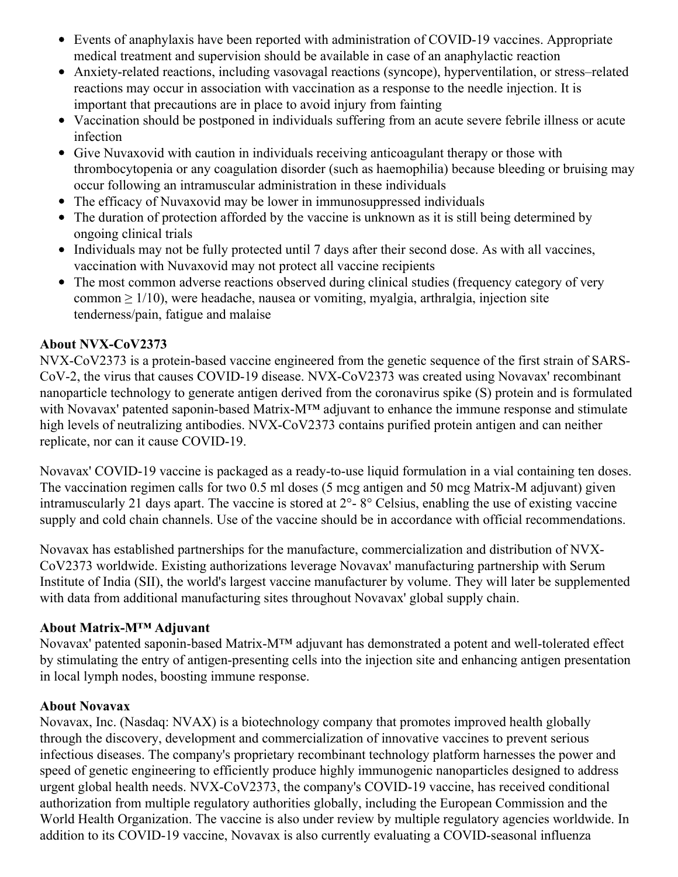- Events of anaphylaxis have been reported with administration of COVID-19 vaccines. Appropriate medical treatment and supervision should be available in case of an anaphylactic reaction
- Anxiety-related reactions, including vasovagal reactions (syncope), hyperventilation, or stress–related reactions may occur in association with vaccination as a response to the needle injection. It is important that precautions are in place to avoid injury from fainting
- Vaccination should be postponed in individuals suffering from an acute severe febrile illness or acute infection
- Give Nuvaxovid with caution in individuals receiving anticoagulant therapy or those with thrombocytopenia or any coagulation disorder (such as haemophilia) because bleeding or bruising may occur following an intramuscular administration in these individuals
- The efficacy of Nuvaxovid may be lower in immunosuppressed individuals
- $\bullet$ The duration of protection afforded by the vaccine is unknown as it is still being determined by ongoing clinical trials
- Individuals may not be fully protected until 7 days after their second dose. As with all vaccines, vaccination with Nuvaxovid may not protect all vaccine recipients
- The most common adverse reactions observed during clinical studies (frequency category of very common  $\geq 1/10$ ), were headache, nausea or vomiting, myalgia, arthralgia, injection site tenderness/pain, fatigue and malaise

# **About NVX-CoV2373**

NVX-CoV2373 is a protein-based vaccine engineered from the genetic sequence of the first strain of SARS-CoV-2, the virus that causes COVID-19 disease. NVX-CoV2373 was created using Novavax' recombinant nanoparticle technology to generate antigen derived from the coronavirus spike (S) protein and is formulated with Novavax' patented saponin-based Matrix-M™ adjuvant to enhance the immune response and stimulate high levels of neutralizing antibodies. NVX-CoV2373 contains purified protein antigen and can neither replicate, nor can it cause COVID-19.

Novavax' COVID-19 vaccine is packaged as a ready-to-use liquid formulation in a vial containing ten doses. The vaccination regimen calls for two 0.5 ml doses (5 mcg antigen and 50 mcg Matrix-M adjuvant) given intramuscularly 21 days apart. The vaccine is stored at 2°- 8° Celsius, enabling the use of existing vaccine supply and cold chain channels. Use of the vaccine should be in accordance with official recommendations.

Novavax has established partnerships for the manufacture, commercialization and distribution of NVX-CoV2373 worldwide. Existing authorizations leverage Novavax' manufacturing partnership with Serum Institute of India (SII), the world's largest vaccine manufacturer by volume. They will later be supplemented with data from additional manufacturing sites throughout Novavax' global supply chain.

# **About Matrix-M™ Adjuvant**

Novavax' patented saponin-based Matrix-M™ adjuvant has demonstrated a potent and well-tolerated effect by stimulating the entry of antigen-presenting cells into the injection site and enhancing antigen presentation in local lymph nodes, boosting immune response.

# **About Novavax**

Novavax, Inc. (Nasdaq: NVAX) is a biotechnology company that promotes improved health globally through the discovery, development and commercialization of innovative vaccines to prevent serious infectious diseases. The company's proprietary recombinant technology platform harnesses the power and speed of genetic engineering to efficiently produce highly immunogenic nanoparticles designed to address urgent global health needs. NVX-CoV2373, the company's COVID-19 vaccine, has received conditional authorization from multiple regulatory authorities globally, including the European Commission and the World Health Organization. The vaccine is also under review by multiple regulatory agencies worldwide. In addition to its COVID-19 vaccine, Novavax is also currently evaluating a COVID-seasonal influenza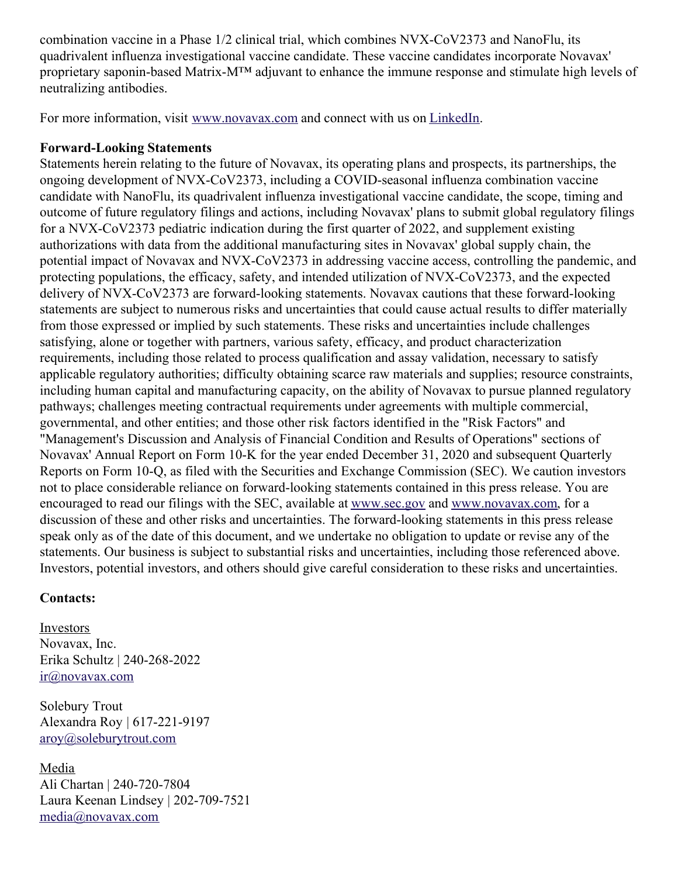combination vaccine in a Phase 1/2 clinical trial, which combines NVX-CoV2373 and NanoFlu, its quadrivalent influenza investigational vaccine candidate. These vaccine candidates incorporate Novavax' proprietary saponin-based Matrix-M™ adjuvant to enhance the immune response and stimulate high levels of neutralizing antibodies.

For more information, visit [www.novavax.com](https://c212.net/c/link/?t=0&l=en&o=3452795-1&h=2678573648&u=https%3A%2F%2Fc212.net%2Fc%2Flink%2F%3Ft%3D0%26l%3Den%26o%3D3395501-1%26h%3D2463599076%26u%3Dhttps%253A%252F%252Fc212.net%252Fc%252Flink%252F%253Ft%253D0%2526l%253Den%2526o%253D3392093-1%2526h%253D203886192%2526u%253Dhttps%25253A%25252F%25252Fc212.net%25252Fc%25252Flink%25252F%25253Ft%25253D0%252526l%25253Den%252526o%25253D3387216-1%252526h%25253D3917401194%252526u%25253Dhttps%2525253A%2525252F%2525252Fc212.net%2525252Fc%2525252Flink%2525252F%2525253Ft%2525253D0%25252526l%2525253Den%25252526o%2525253D3260461-1%25252526h%2525253D2897486098%25252526u%2525253Dhttp%252525253A%252525252F%252525252Fwww.novavax.com%252525252F%25252526a%2525253Dwww.novavax.com%252526a%25253Dwww.novavax.com%2526a%253Dwww.novavax.com%26a%3Dwww.novavax.com&a=www.novavax.com) and connect with us on [LinkedIn](https://c212.net/c/link/?t=0&l=en&o=3452795-1&h=3506594543&u=https%3A%2F%2Fc212.net%2Fc%2Flink%2F%3Ft%3D0%26l%3Den%26o%3D3395501-1%26h%3D853375093%26u%3Dhttps%253A%252F%252Fc212.net%252Fc%252Flink%252F%253Ft%253D0%2526l%253Den%2526o%253D3392093-1%2526h%253D1325598136%2526u%253Dhttps%25253A%25252F%25252Fc212.net%25252Fc%25252Flink%25252F%25253Ft%25253D0%252526l%25253Den%252526o%25253D3387216-1%252526h%25253D2935962557%252526u%25253Dhttps%2525253A%2525252F%2525252Fc212.net%2525252Fc%2525252Flink%2525252F%2525253Ft%2525253D0%25252526l%2525253Den%25252526o%2525253D3260461-1%25252526h%2525253D1508558197%25252526u%2525253Dhttps%252525253A%252525252F%252525252Fc212.net%252525252Fc%252525252Flink%252525252F%252525253Ft%252525253D0%2525252526l%252525253Den%2525252526o%252525253D3158017-1%2525252526h%252525253D3702938248%2525252526u%252525253Dhttps%25252525253A%25252525252F%25252525252Fwww.linkedin.com%25252525252Fcompany%25252525252Fnovavax%25252525252F%2525252526a%252525253DLinkedIn%25252526a%2525253DLinkedIn%252526a%25253DLinkedIn%2526a%253DLinkedIn%26a%3DLinkedIn&a=LinkedIn).

### **Forward-Looking Statements**

Statements herein relating to the future of Novavax, its operating plans and prospects, its partnerships, the ongoing development of NVX-CoV2373, including a COVID-seasonal influenza combination vaccine candidate with NanoFlu, its quadrivalent influenza investigational vaccine candidate, the scope, timing and outcome of future regulatory filings and actions, including Novavax' plans to submit global regulatory filings for a NVX-CoV2373 pediatric indication during the first quarter of 2022, and supplement existing authorizations with data from the additional manufacturing sites in Novavax' global supply chain, the potential impact of Novavax and NVX-CoV2373 in addressing vaccine access, controlling the pandemic, and protecting populations, the efficacy, safety, and intended utilization of NVX-CoV2373, and the expected delivery of NVX-CoV2373 are forward-looking statements. Novavax cautions that these forward-looking statements are subject to numerous risks and uncertainties that could cause actual results to differ materially from those expressed or implied by such statements. These risks and uncertainties include challenges satisfying, alone or together with partners, various safety, efficacy, and product characterization requirements, including those related to process qualification and assay validation, necessary to satisfy applicable regulatory authorities; difficulty obtaining scarce raw materials and supplies; resource constraints, including human capital and manufacturing capacity, on the ability of Novavax to pursue planned regulatory pathways; challenges meeting contractual requirements under agreements with multiple commercial, governmental, and other entities; and those other risk factors identified in the "Risk Factors" and "Management's Discussion and Analysis of Financial Condition and Results of Operations" sections of Novavax' Annual Report on Form 10-K for the year ended December 31, 2020 and subsequent Quarterly Reports on Form 10-Q, as filed with the Securities and Exchange Commission (SEC). We caution investors not to place considerable reliance on forward-looking statements contained in this press release. You are encouraged to read our filings with the SEC, available at [www.sec.gov](https://c212.net/c/link/?t=0&l=en&o=3452795-1&h=1972058767&u=http%3A%2F%2Fwww.sec.gov%2F&a=www.sec.gov) and [www.novavax.com](https://c212.net/c/link/?t=0&l=en&o=3452795-1&h=1890674207&u=http%3A%2F%2Fwww.novavax.com%2F&a=www.novavax.com), for a discussion of these and other risks and uncertainties. The forward-looking statements in this press release speak only as of the date of this document, and we undertake no obligation to update or revise any of the statements. Our business is subject to substantial risks and uncertainties, including those referenced above. Investors, potential investors, and others should give careful consideration to these risks and uncertainties.

### **Contacts:**

Investors Novavax, Inc. Erika Schultz | 240-268-2022 [ir@novavax.com](mailto:ir@novavax.com)

Solebury Trout Alexandra Roy | 617-221-9197 [aroy@soleburytrout.com](mailto:aroy@soleburytrout.com)

Media Ali Chartan | 240-720-7804 Laura Keenan Lindsey | 202-709-7521 [media@novavax.com](mailto:media@novavax.com)